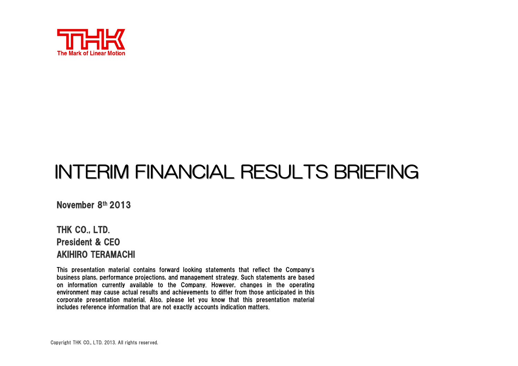

# INTERIM FINANCIAL RESULTS BRIEFING

November 8th 2013

THK CO., LTD. President & CEO AKIHIRO TERAMACHI

This presentation material contains forward looking statements that reflect the Company'<sup>s</sup> business plans, performance projections, and management strategy. Such statements are based on information currently available to the Company. However, changes in the operating environment may cause actual results and achievements to differ from those anticipated in this corporate presentation material. Also, please let you know that this presentation material includes reference information that are not exactly accounts indication matters.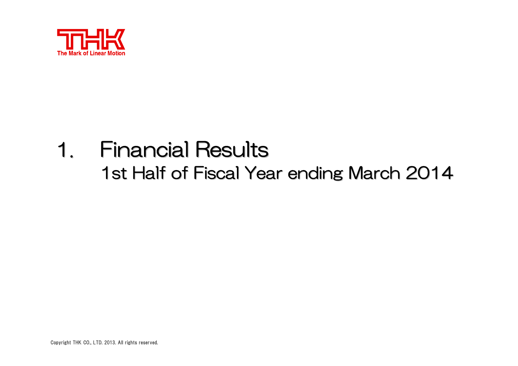

### 1. Financial Results Financial Results  $\sim$ 1st Half of Fiscal Year ending March 2014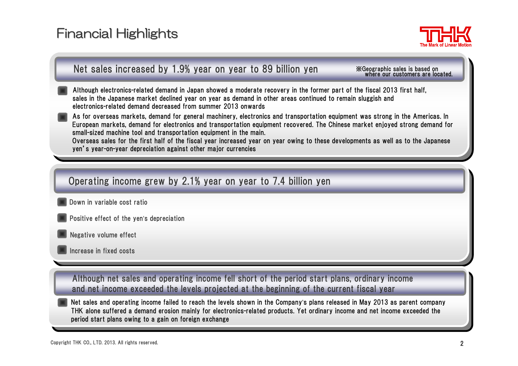# **Financial Highlights**



#### Net sales increased by 1.9% year on year to 89 billion yen

※Geographic sales is based on where our customers are located.

Although electronics-related demand in Japan showed a moderate recovery in the former part of the fiscal 2013 first half, sales in the Japanese market declined year on year as demand in other areas continued to remain sluggish and electronics-related demand decreased from summer 2013 onwards

As for overseas markets, demand for general machinery, electronics and transportation equipment was strong in the Americas. In European markets, demand for electronics and transportation equipment recovered. The Chinese market enjoyed strong demand for small-sized machine tool and transportation equipment in the main.

Overseas sales for the first half of the fiscal year increased year on year owing to these developments as well as to the Japanese yen's year-on-year depreciation against other major currencies

#### Operating income grew by 2.1% year on year to 7.4 billion yen

- Down in variable cost ratio
- Positive effect of the yen's depreciation
- Negative volume effect
- Increase in fixed costs

Although net sales and operating income fell short of the period start plans, ordinary income and net income exceeded the levels projected at the beginning of the current fiscal year

Net sales and operating income failed to reach the levels shown in the Company's plans released in May 2013 as parent company THK alone suffered a demand erosion mainly for electronics-related products. Yet ordinary income and net income exceeded the period start plans owing to a gain on foreign exchange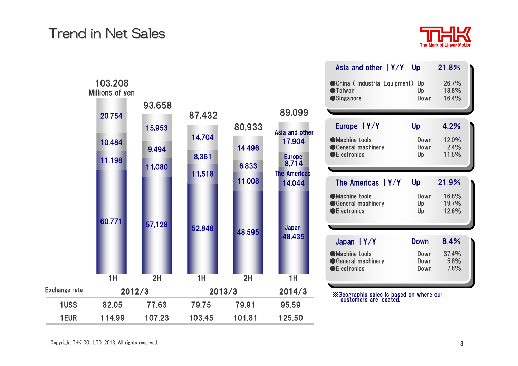# **Trend in Net Sales**





| Asia and other $ Y/Y $ Up                                             |                    | 21.8%                   |  |
|-----------------------------------------------------------------------|--------------------|-------------------------|--|
| ● China (Industrial Equipment)<br><b>O</b> Taiwan<br><b>Singapore</b> | Up<br>Up<br>Down   | 26.7%<br>18.8%<br>16.4% |  |
| Europe   Y/Y                                                          | <b>Up</b>          | 4.2%                    |  |
| •Machine tools<br>General machinery<br><b>OElectronics</b>            | Down<br>Down<br>Up | 12.0%<br>2.4%<br>11.5%  |  |
|                                                                       |                    |                         |  |
| The Americas $ Y/Y $                                                  | Up                 | 21.9%                   |  |
| •Machine tools<br>General machinery<br><b>OElectronics</b>            | Down<br>Up<br>Up   | 16.8%<br>19.7%<br>12.6% |  |
| Japan $ Y/Y $                                                         | <b>Down</b>        | 8.4%                    |  |

※Geographic sales is based on where our customers are located.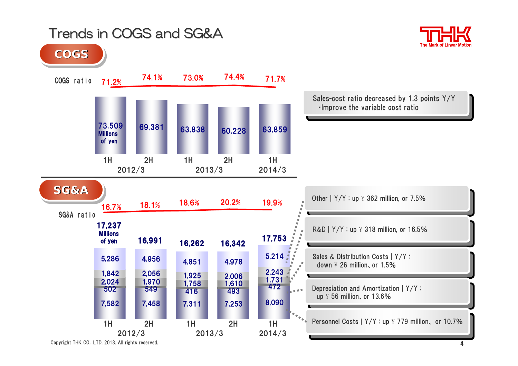# Trends in COGS and SG&A Trends in COGS and SG&A



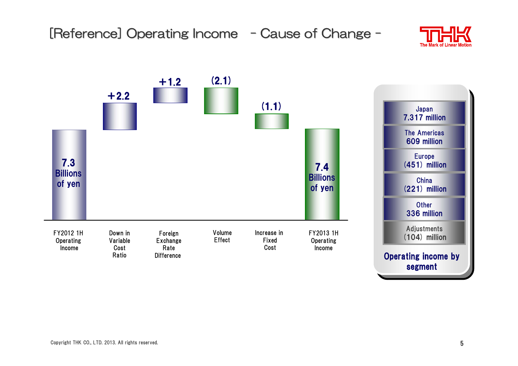

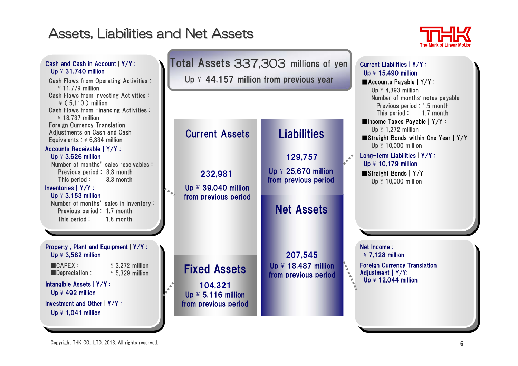### Assets, Liabilities and Net Assets



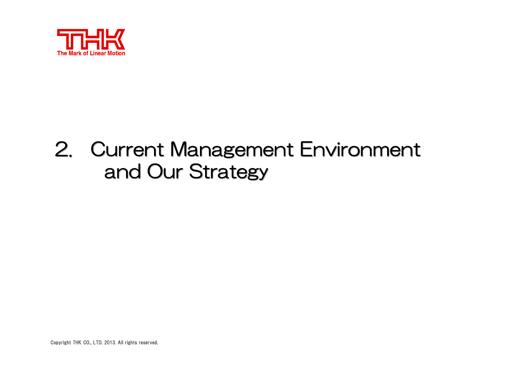

### 2. Current Management Environment . . and Our Strategy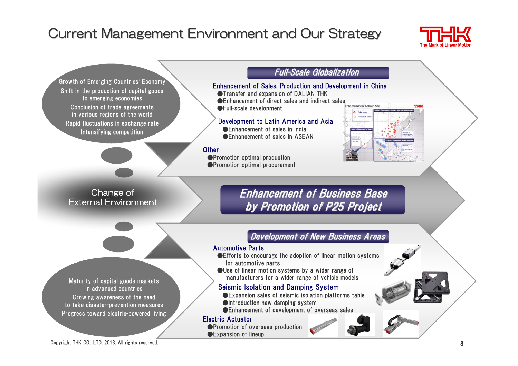# Current Management Environment and Our Strategy



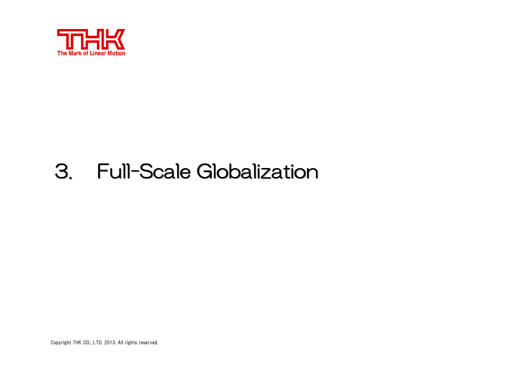

#### 3. **Full-Scale Globalization**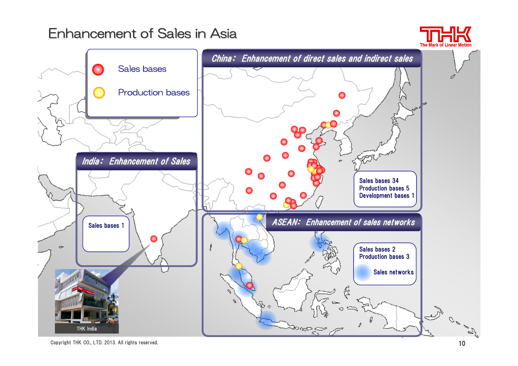### Enhancement of Sales in Asia



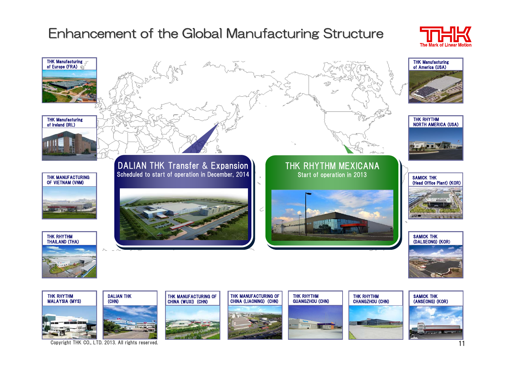# Enhancement of the Global Manufacturing Structure



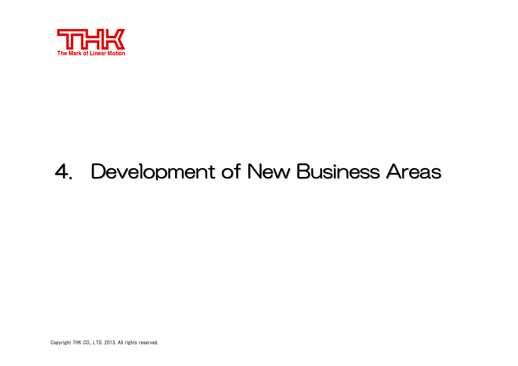

#### 4. Development of New Business Areas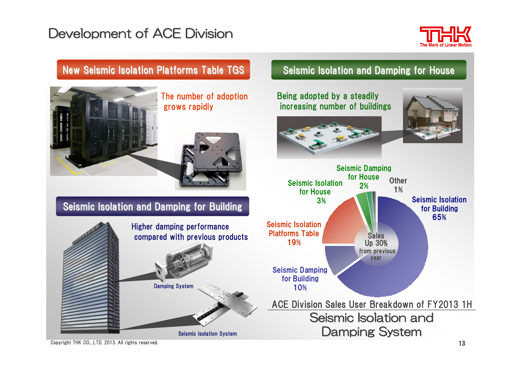# Development of ACE Division



### New Seismic Isolation Platforms Table TGS



The number of adoption grows rapidly



### Seismic Isolation and Damping for Building



### Seismic Isolation and Damping for House

Being adopted by a steadily increasing number of buildings





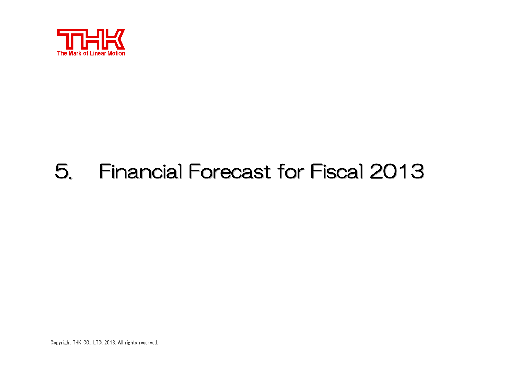

#### 5. Financial Forecast for Fiscal 2013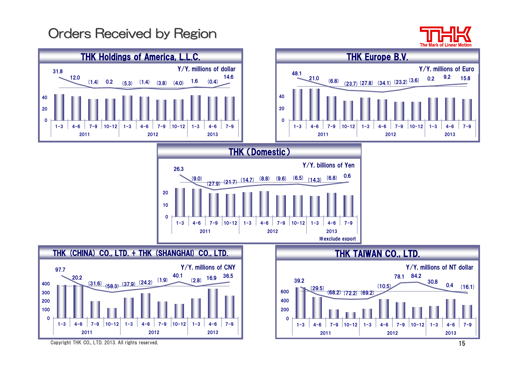# Orders Received by Region



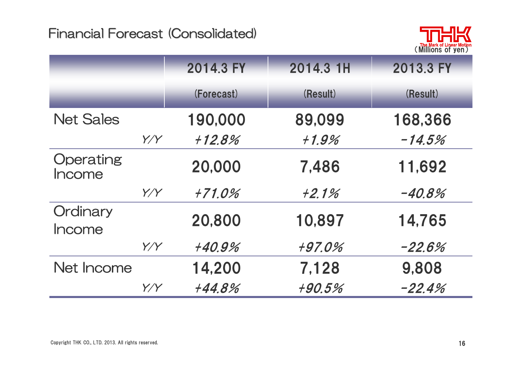

|                     |     | 2014.3 FY  | 2014.3 1H | 2013.3 FY |
|---------------------|-----|------------|-----------|-----------|
|                     |     | (Forecast) | (Result)  | (Result)  |
| <b>Net Sales</b>    |     | 190,000    | 89,099    | 168,366   |
|                     | Y/Y | $+12.8%$   | $+1.9%$   | $-14.5%$  |
| Operating<br>Income |     | 20,000     | 7,486     | 11,692    |
|                     | Y/Y | +71.0%     | $+2.1%$   | $-40.8%$  |
| Ordinary<br>Income  |     | 20,800     | 10,897    | 14,765    |
|                     | Y/Y | +40.9%     | +97.0%    | $-22.6%$  |
| Net Income          |     | 14,200     | 7,128     | 9,808     |
|                     | Y/Y | +44.8%     | +90.5%    | $-22.4%$  |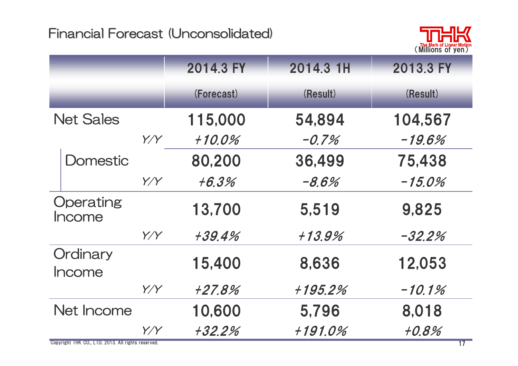

|                     |     | 2014.3 FY  | 2014.3 1H | 2013.3 FY |
|---------------------|-----|------------|-----------|-----------|
|                     |     | (Forecast) | (Result)  | (Result)  |
| <b>Net Sales</b>    |     | 115,000    | 54,894    | 104,567   |
|                     | Y/Y | $+10.0\%$  | $-0.7%$   | $-19.6%$  |
| <b>Domestic</b>     |     | 80,200     | 36,499    | 75,438    |
|                     | Y/Y | $+6.3%$    | $-8.6%$   | $-15.0\%$ |
| Operating<br>Income |     | 13,700     | 5,519     | 9,825     |
|                     | Y/Y | +39.4%     | $+13.9%$  | $-32.2\%$ |
| Ordinary<br>Income  |     | 15,400     | 8,636     | 12,053    |
|                     | Y/Y | +27.8%     | +195.2%   | $-10.1%$  |
| Net Income          |     | 10,600     | 5,796     | 8,018     |
|                     | Y/Y | +32.2%     | +191.0%   | $+0.8%$   |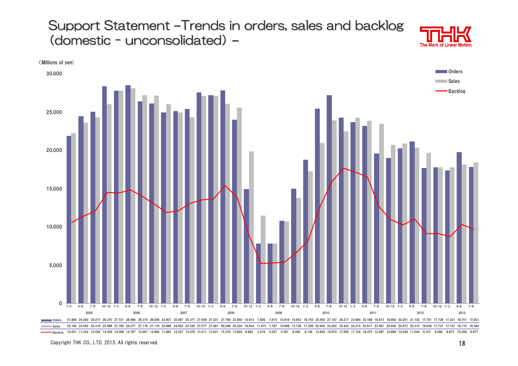Support Statement -Trends in orders, sales and backlog (domestic unconsolidated unconsolidated) **–**